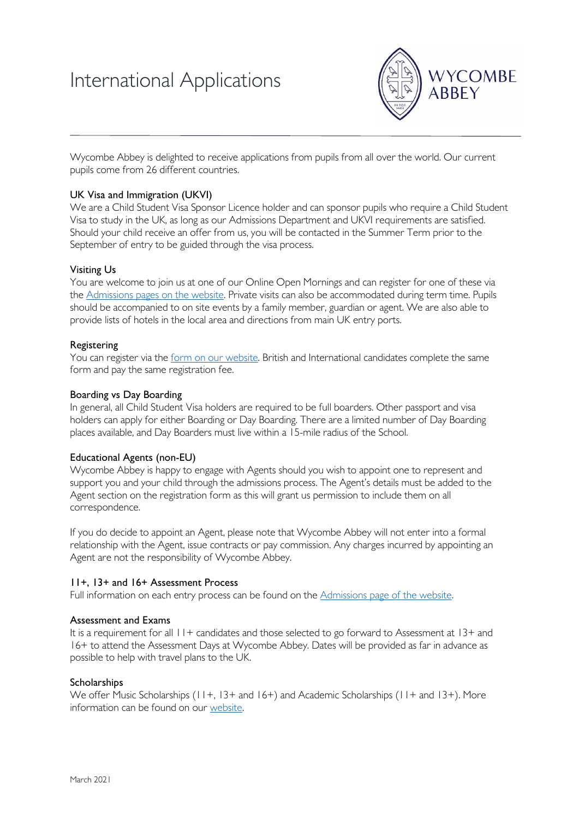# International Applications



Wycombe Abbey is delighted to receive applications from pupils from all over the world. Our current pupils come from 26 different countries.

## UK Visa and Immigration (UKVI)

We are a Child Student Visa Sponsor Licence holder and can sponsor pupils who require a Child Student Visa to study in the UK, as long as our Admissions Department and UKVI requirements are satisfied. Should your child receive an offer from us, you will be contacted in the Summer Term prior to the September of entry to be guided through the visa process.

## Visiting Us

You are welcome to join us at one of our Online Open Mornings and can register for one of these via th[e Admissions pages on](https://www.wycombeabbey.com/admissions/#openmornings) the website. Private visits can also be accommodated during term time. Pupils should be accompanied to on site events by a family member, guardian or agent. We are also able to provide lists of hotels in the local area and directions from main UK entry ports.

## Registering

You can register via th[e form on our website.](https://www.wycombeabbey.com/admissions/) British and International candidates complete the same form and pay the same registration fee.

## Boarding vs Day Boarding

In general, all Child Student Visa holders are required to be full boarders. Other passport and visa holders can apply for either Boarding or Day Boarding. There are a limited number of Day Boarding places available, and Day Boarders must live within a 15-mile radius of the School.

# Educational Agents (non-EU)

Wycombe Abbey is happy to engage with Agents should you wish to appoint one to represent and support you and your child through the admissions process. The Agent's details must be added to the Agent section on the registration form as this will grant us permission to include them on all correspondence.

If you do decide to appoint an Agent, please note that Wycombe Abbey will not enter into a formal relationship with the Agent, issue contracts or pay commission. Any charges incurred by appointing an Agent are not the responsibility of Wycombe Abbey.

# 11+, 13+ and 16+ Assessment Process

Full information on each entry process can be found on the [Admissions page of the website.](https://www.wycombeabbey.com/admissions/) 

## Assessment and Exams

It is a requirement for all  $11+$  candidates and those selected to go forward to Assessment at 13+ and 16+ to attend the Assessment Days at Wycombe Abbey. Dates will be provided as far in advance as possible to help with travel plans to the UK.

## **Scholarships**

We offer Music Scholarships (11+, 13+ and 16+) and Academic Scholarships (11+ and 13+). More information can be found on our [website.](https://www.wycombeabbey.com/admissions/#scholarships)